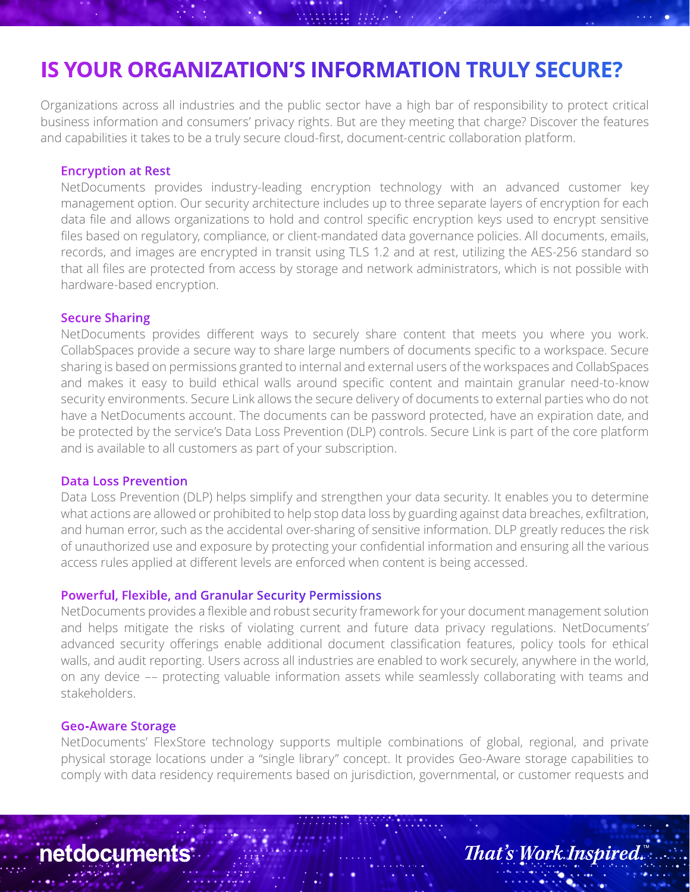# **IS YOUR ORGANIZATION'S INFORMATION TRULY SECURE?**

Organizations across all industries and the public sector have a high bar of responsibility to protect critical business information and consumers' privacy rights. But are they meeting that charge? Discover the features and capabilities it takes to be a truly secure cloud-first, document-centric collaboration platform.

### **Encryption at Rest**

NetDocuments provides industry-leading encryption technology with an advanced customer key management option. Our security architecture includes up to three separate layers of encryption for each data file and allows organizations to hold and control specific encryption keys used to encrypt sensitive files based on regulatory, compliance, or client-mandated data governance policies. All documents, emails, records, and images are encrypted in transit using TLS 1.2 and at rest, utilizing the AES-256 standard so that all files are protected from access by storage and network administrators, which is not possible with hardware-based encryption.

#### **Secure Sharing**

NetDocuments provides different ways to securely share content that meets you where you work. CollabSpaces provide a secure way to share large numbers of documents specific to a workspace. Secure sharing is based on permissions granted to internal and external users of the workspaces and CollabSpaces and makes it easy to build ethical walls around specific content and maintain granular need-to-know security environments. Secure Link allows the secure delivery of documents to external parties who do not have a NetDocuments account. The documents can be password protected, have an expiration date, and be protected by the service's Data Loss Prevention (DLP) controls. Secure Link is part of the core platform and is available to all customers as part of your subscription.

#### **Data Loss Prevention**

Data Loss Prevention (DLP) helps simplify and strengthen your data security. It enables you to determine what actions are allowed or prohibited to help stop data loss by guarding against data breaches, exfiltration, and human error, such as the accidental over-sharing of sensitive information. DLP greatly reduces the risk of unauthorized use and exposure by protecting your confidential information and ensuring all the various access rules applied at different levels are enforced when content is being accessed.

## **Powerful, Flexible, and Granular Security Permissions**

NetDocuments provides a flexible and robust security framework for your document management solution and helps mitigate the risks of violating current and future data privacy regulations. NetDocuments' advanced security offerings enable additional document classification features, policy tools for ethical walls, and audit reporting. Users across all industries are enabled to work securely, anywhere in the world, on any device –– protecting valuable information assets while seamlessly collaborating with teams and stakeholders.

#### **Geo-Aware Storage**

NetDocuments' FlexStore technology supports multiple combinations of global, regional, and private physical storage locations under a "single library" concept. It provides Geo-Aware storage capabilities to comply with data residency requirements based on jurisdiction, governmental, or customer requests and

**netdocuments** 

**That's Work Inspired.**